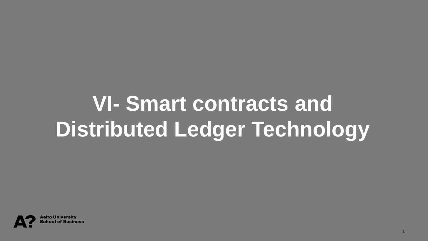### **VI- Smart contracts and Distributed Ledger Technology**

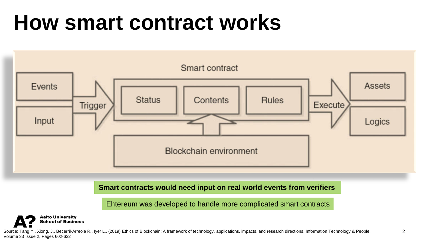#### **How smart contract works**



**Smart contracts would need input on real world events from verifiers**

Ehtereum was developed to handle more complicated smart contracts



Source: Tang Y., Xiong. J., Becerril-Arreola R., Iyer L., (2019) Ethics of Blockchain: A framework of technology, applications, impacts, and research directions. Information Technology & People, 2 Volume 33 Issue 2, Pages 602-632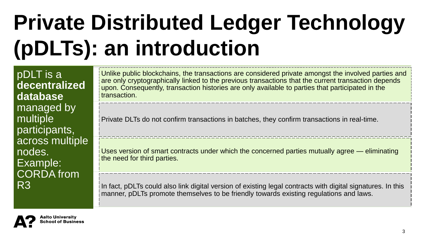# **Private Distributed Ledger Technology (pDLTs): an introduction**

pDLT is a **decentralized database**  managed by multiple participants, across multiple nodes. Example: CORDA from R3

Unlike public blockchains, the transactions are considered private amongst the involved parties and are only cryptographically linked to the previous transactions that the current transaction depends upon. Consequently, transaction histories are only available to parties that participated in the transaction.

Private DLTs do not confirm transactions in batches, they confirm transactions in real-time.

Uses version of smart contracts under which the concerned parties mutually agree — eliminating the need for third parties.

In fact, pDLTs could also link digital version of existing legal contracts with digital signatures. In this manner, pDLTs promote themselves to be friendly towards existing regulations and laws.

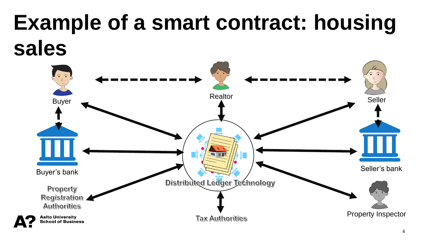### **Example of a smart contract: housing sales**

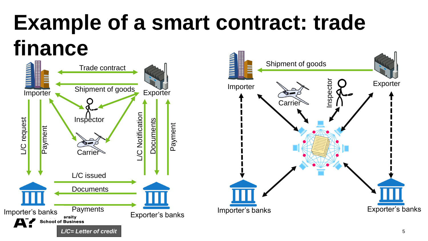## **Example of a smart contract: trade finance**